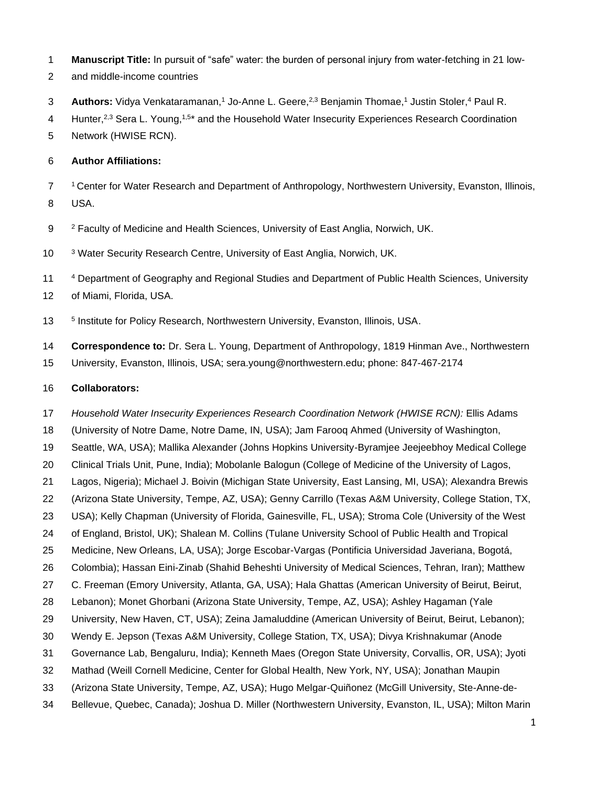- **Manuscript Title:** In pursuit of "safe" water: the burden of personal injury from water-fetching in 21 low-
- and middle-income countries
- **Authors:** Vidya Venkataramanan,<sup>1</sup> Jo-Anne L. Geere,<sup>2,3</sup> Benjamin Thomae,<sup>1</sup> Justin Stoler,<sup>4</sup> Paul R.
- 4 Hunter,<sup>2,3</sup> Sera L. Young,<sup>1,5\*</sup> and the Household Water Insecurity Experiences Research Coordination
- Network (HWISE RCN).

#### **Author Affiliations:**

 Center for Water Research and Department of Anthropology, Northwestern University, Evanston, Illinois, USA.

- Faculty of Medicine and Health Sciences, University of East Anglia, Norwich, UK.
- <sup>3</sup> Water Security Research Centre, University of East Anglia, Norwich, UK.
- <sup>4</sup> Department of Geography and Regional Studies and Department of Public Health Sciences, University
- of Miami, Florida, USA.
- 13 <sup>5</sup> Institute for Policy Research, Northwestern University, Evanston, Illinois, USA.
- **Correspondence to:** Dr. Sera L. Young, Department of Anthropology, 1819 Hinman Ave., Northwestern University, Evanston, Illinois, USA; sera.young@northwestern.edu; phone: 847-467-2174

#### **Collaborators:**

- *Household Water Insecurity Experiences Research Coordination Network (HWISE RCN):* Ellis Adams
- (University of Notre Dame, Notre Dame, IN, USA); Jam Farooq Ahmed (University of Washington,
- Seattle, WA, USA); Mallika Alexander (Johns Hopkins University-Byramjee Jeejeebhoy Medical College
- Clinical Trials Unit, Pune, India); Mobolanle Balogun (College of Medicine of the University of Lagos,
- Lagos, Nigeria); Michael J. Boivin (Michigan State University, East Lansing, MI, USA); Alexandra Brewis
- (Arizona State University, Tempe, AZ, USA); Genny Carrillo (Texas A&M University, College Station, TX,
- USA); Kelly Chapman (University of Florida, Gainesville, FL, USA); Stroma Cole (University of the West
- of England, Bristol, UK); Shalean M. Collins (Tulane University School of Public Health and Tropical
- Medicine, New Orleans, LA, USA); Jorge Escobar-Vargas (Pontificia Universidad Javeriana, Bogotá,
- Colombia); Hassan Eini-Zinab (Shahid Beheshti University of Medical Sciences, Tehran, Iran); Matthew
- C. Freeman (Emory University, Atlanta, GA, USA); Hala Ghattas (American University of Beirut, Beirut,
- Lebanon); Monet Ghorbani (Arizona State University, Tempe, AZ, USA); Ashley Hagaman (Yale
- 29 University, New Haven, CT, USA); Zeina Jamaluddine (American University of Beirut, Beirut, Lebanon);
- Wendy E. Jepson (Texas A&M University, College Station, TX, USA); Divya Krishnakumar (Anode
- Governance Lab, Bengaluru, India); Kenneth Maes (Oregon State University, Corvallis, OR, USA); Jyoti
- Mathad (Weill Cornell Medicine, Center for Global Health, New York, NY, USA); Jonathan Maupin
- (Arizona State University, Tempe, AZ, USA); Hugo Melgar-Quiñonez (McGill University, Ste-Anne-de-
- Bellevue, Quebec, Canada); Joshua D. Miller (Northwestern University, Evanston, IL, USA); Milton Marin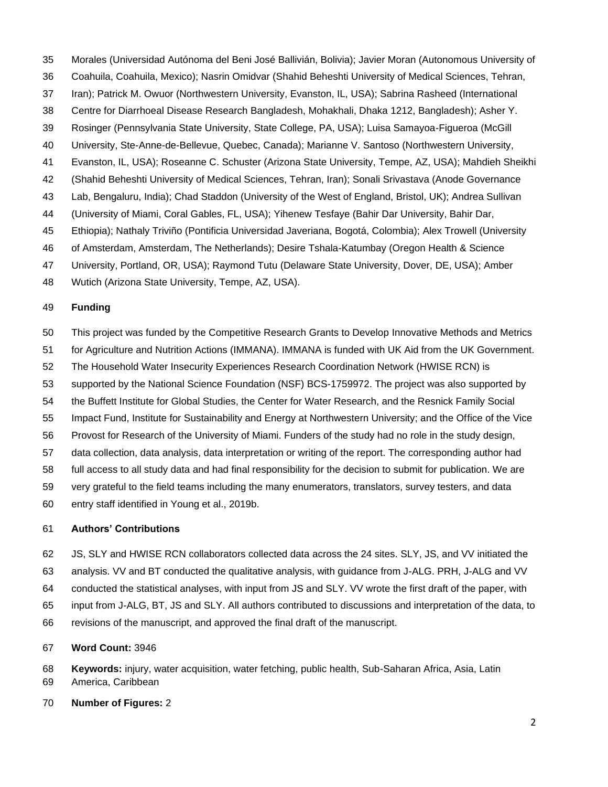- Morales (Universidad Autónoma del Beni José Ballivián, Bolivia); Javier Moran (Autonomous University of
- Coahuila, Coahuila, Mexico); Nasrin Omidvar (Shahid Beheshti University of Medical Sciences, Tehran,
- Iran); Patrick M. Owuor (Northwestern University, Evanston, IL, USA); Sabrina Rasheed (International
- Centre for Diarrhoeal Disease Research Bangladesh, Mohakhali, Dhaka 1212, Bangladesh); Asher Y.
- Rosinger (Pennsylvania State University, State College, PA, USA); Luisa Samayoa-Figueroa (McGill
- University, Ste-Anne-de-Bellevue, Quebec, Canada); Marianne V. Santoso (Northwestern University,
- Evanston, IL, USA); Roseanne C. Schuster (Arizona State University, Tempe, AZ, USA); Mahdieh Sheikhi
- (Shahid Beheshti University of Medical Sciences, Tehran, Iran); Sonali Srivastava (Anode Governance
- Lab, Bengaluru, India); Chad Staddon (University of the West of England, Bristol, UK); Andrea Sullivan
- (University of Miami, Coral Gables, FL, USA); Yihenew Tesfaye (Bahir Dar University, Bahir Dar,
- Ethiopia); Nathaly Triviño (Pontificia Universidad Javeriana, Bogotá, Colombia); Alex Trowell (University
- of Amsterdam, Amsterdam, The Netherlands); Desire Tshala-Katumbay (Oregon Health & Science
- University, Portland, OR, USA); Raymond Tutu (Delaware State University, Dover, DE, USA); Amber
- Wutich (Arizona State University, Tempe, AZ, USA).

## **Funding**

- This project was funded by the Competitive Research Grants to Develop Innovative Methods and Metrics
- for Agriculture and Nutrition Actions (IMMANA). IMMANA is funded with UK Aid from the UK Government.
- The Household Water Insecurity Experiences Research Coordination Network (HWISE RCN) is
- supported by the National Science Foundation (NSF) BCS-1759972. The project was also supported by
- the Buffett Institute for Global Studies, the Center for Water Research, and the Resnick Family Social
- Impact Fund, Institute for Sustainability and Energy at Northwestern University; and the Office of the Vice
- Provost for Research of the University of Miami. Funders of the study had no role in the study design,
- data collection, data analysis, data interpretation or writing of the report. The corresponding author had
- full access to all study data and had final responsibility for the decision to submit for publication. We are
- very grateful to the field teams including the many enumerators, translators, survey testers, and data entry staff identified in Young et al., 2019b.

#### **Authors' Contributions**

- JS, SLY and HWISE RCN collaborators collected data across the 24 sites. SLY, JS, and VV initiated the
- analysis. VV and BT conducted the qualitative analysis, with guidance from J-ALG. PRH, J-ALG and VV
- conducted the statistical analyses, with input from JS and SLY. VV wrote the first draft of the paper, with
- input from J-ALG, BT, JS and SLY. All authors contributed to discussions and interpretation of the data, to
- revisions of the manuscript, and approved the final draft of the manuscript.

# **Word Count:** 3946

 **Keywords:** injury, water acquisition, water fetching, public health, Sub-Saharan Africa, Asia, Latin America, Caribbean

**Number of Figures:** 2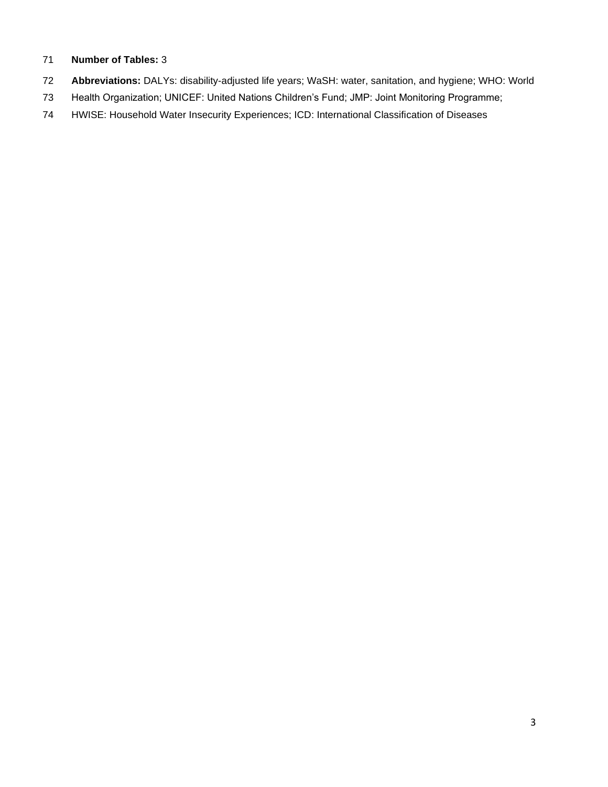## **Number of Tables:** 3

- **Abbreviations:** DALYs: disability-adjusted life years; WaSH: water, sanitation, and hygiene; WHO: World
- Health Organization; UNICEF: United Nations Children's Fund; JMP: Joint Monitoring Programme;
- HWISE: Household Water Insecurity Experiences; ICD: International Classification of Diseases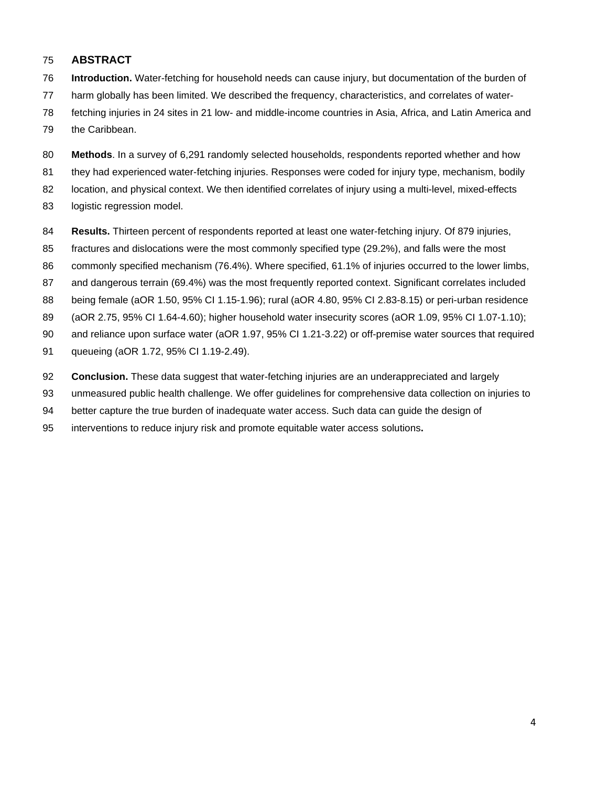# **ABSTRACT**

- **Introduction.** Water-fetching for household needs can cause injury, but documentation of the burden of
- harm globally has been limited. We described the frequency, characteristics, and correlates of water-
- fetching injuries in 24 sites in 21 low- and middle-income countries in Asia, Africa, and Latin America and
- the Caribbean.
- **Methods**. In a survey of 6,291 randomly selected households, respondents reported whether and how
- they had experienced water-fetching injuries. Responses were coded for injury type, mechanism, bodily
- location, and physical context. We then identified correlates of injury using a multi-level, mixed-effects
- logistic regression model.
- **Results.** Thirteen percent of respondents reported at least one water-fetching injury. Of 879 injuries,
- fractures and dislocations were the most commonly specified type (29.2%), and falls were the most
- commonly specified mechanism (76.4%). Where specified, 61.1% of injuries occurred to the lower limbs,
- and dangerous terrain (69.4%) was the most frequently reported context. Significant correlates included
- being female (aOR 1.50, 95% CI 1.15-1.96); rural (aOR 4.80, 95% CI 2.83-8.15) or peri-urban residence
- (aOR 2.75, 95% CI 1.64-4.60); higher household water insecurity scores (aOR 1.09, 95% CI 1.07-1.10);
- and reliance upon surface water (aOR 1.97, 95% CI 1.21-3.22) or off-premise water sources that required
- queueing (aOR 1.72, 95% CI 1.19-2.49).
- **Conclusion.** These data suggest that water-fetching injuries are an underappreciated and largely
- unmeasured public health challenge. We offer guidelines for comprehensive data collection on injuries to
- better capture the true burden of inadequate water access. Such data can guide the design of
- interventions to reduce injury risk and promote equitable water access solutions**.**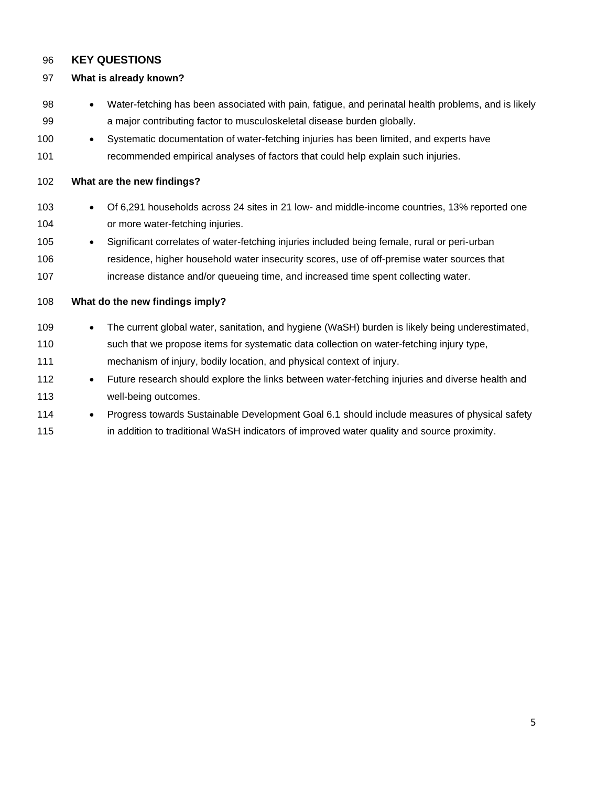# **KEY QUESTIONS**

## **What is already known?**

- Water-fetching has been associated with pain, fatigue, and perinatal health problems, and is likely a major contributing factor to musculoskeletal disease burden globally.
- Systematic documentation of water-fetching injuries has been limited, and experts have recommended empirical analyses of factors that could help explain such injuries.

# **What are the new findings?**

- Of 6,291 households across 24 sites in 21 low- and middle-income countries, 13% reported one or more water-fetching injuries.
- Significant correlates of water-fetching injuries included being female, rural or peri-urban residence, higher household water insecurity scores, use of off-premise water sources that increase distance and/or queueing time, and increased time spent collecting water.
- **What do the new findings imply?** 109 • The current global water, sanitation, and hygiene (WaSH) burden is likely being underestimated, 110 such that we propose items for systematic data collection on water-fetching injury type, mechanism of injury, bodily location, and physical context of injury. • Future research should explore the links between water-fetching injuries and diverse health and well-being outcomes. 114 • Progress towards Sustainable Development Goal 6.1 should include measures of physical safety

**in addition to traditional WaSH indicators of improved water quality and source proximity.**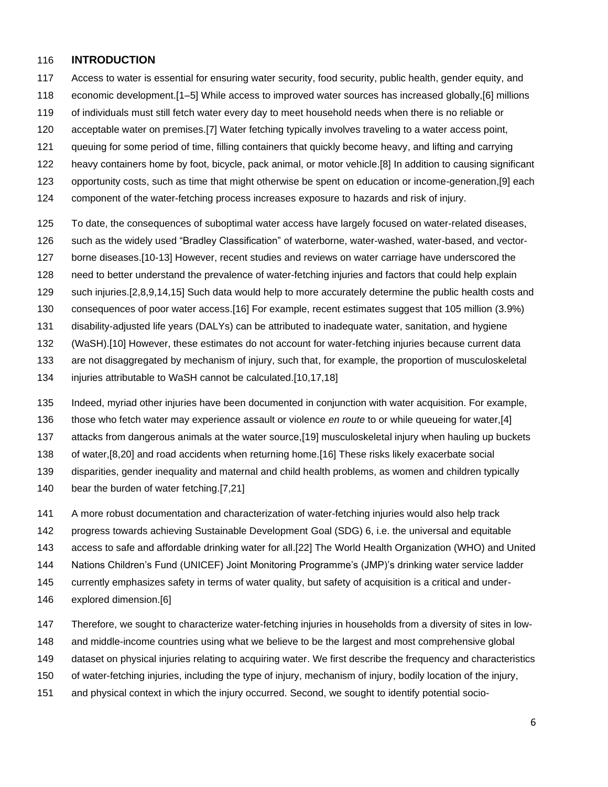## **INTRODUCTION**

- Access to water is essential for ensuring water security, food security, public health, gender equity, and
- economic development.[1–5] While access to improved water sources has increased globally,[6] millions
- of individuals must still fetch water every day to meet household needs when there is no reliable or
- acceptable water on premises.[7] Water fetching typically involves traveling to a water access point,
- queuing for some period of time, filling containers that quickly become heavy, and lifting and carrying
- heavy containers home by foot, bicycle, pack animal, or motor vehicle.[8] In addition to causing significant
- opportunity costs, such as time that might otherwise be spent on education or income-generation,[9] each
- component of the water-fetching process increases exposure to hazards and risk of injury.
- To date, the consequences of suboptimal water access have largely focused on water-related diseases,
- such as the widely used "Bradley Classification" of waterborne, water-washed, water-based, and vector-
- borne diseases.[10-13] However, recent studies and reviews on water carriage have underscored the
- need to better understand the prevalence of water-fetching injuries and factors that could help explain
- such injuries.[2,8,9,14,15] Such data would help to more accurately determine the public health costs and
- consequences of poor water access.[16] For example, recent estimates suggest that 105 million (3.9%)
- disability-adjusted life years (DALYs) can be attributed to inadequate water, sanitation, and hygiene
- (WaSH).[10] However, these estimates do not account for water-fetching injuries because current data
- are not disaggregated by mechanism of injury, such that, for example, the proportion of musculoskeletal
- injuries attributable to WaSH cannot be calculated.[10,17,18]
- Indeed, myriad other injuries have been documented in conjunction with water acquisition. For example,
- those who fetch water may experience assault or violence *en route* to or while queueing for water,[4]
- attacks from dangerous animals at the water source,[19] musculoskeletal injury when hauling up buckets
- of water,[8,20] and road accidents when returning home.[16] These risks likely exacerbate social
- disparities, gender inequality and maternal and child health problems, as women and children typically
- bear the burden of water fetching.[7,21]
- A more robust documentation and characterization of water-fetching injuries would also help track
- progress towards achieving Sustainable Development Goal (SDG) 6, i.e. the universal and equitable
- access to safe and affordable drinking water for all.[22] The World Health Organization (WHO) and United
- Nations Children's Fund (UNICEF) Joint Monitoring Programme's (JMP)'s drinking water service ladder
- currently emphasizes safety in terms of water quality, but safety of acquisition is a critical and under-
- explored dimension.[6]
- Therefore, we sought to characterize water-fetching injuries in households from a diversity of sites in low-
- and middle-income countries using what we believe to be the largest and most comprehensive global
- dataset on physical injuries relating to acquiring water. We first describe the frequency and characteristics
- of water-fetching injuries, including the type of injury, mechanism of injury, bodily location of the injury,
- and physical context in which the injury occurred. Second, we sought to identify potential socio-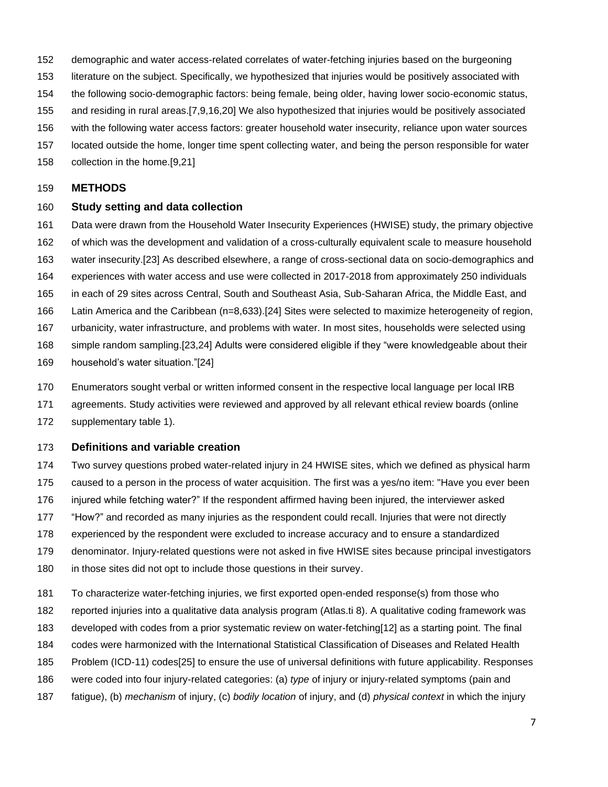- demographic and water access-related correlates of water-fetching injuries based on the burgeoning
- literature on the subject. Specifically, we hypothesized that injuries would be positively associated with
- the following socio-demographic factors: being female, being older, having lower socio-economic status,
- and residing in rural areas.[7,9,16,20] We also hypothesized that injuries would be positively associated
- with the following water access factors: greater household water insecurity, reliance upon water sources
- located outside the home, longer time spent collecting water, and being the person responsible for water
- collection in the home.[9,21]

#### **METHODS**

# **Study setting and data collection**

- Data were drawn from the Household Water Insecurity Experiences (HWISE) study, the primary objective
- of which was the development and validation of a cross-culturally equivalent scale to measure household
- water insecurity.[23] As described elsewhere, a range of cross-sectional data on socio-demographics and
- experiences with water access and use were collected in 2017-2018 from approximately 250 individuals
- in each of 29 sites across Central, South and Southeast Asia, Sub-Saharan Africa, the Middle East, and
- Latin America and the Caribbean (n=8,633).[24] Sites were selected to maximize heterogeneity of region,
- urbanicity, water infrastructure, and problems with water. In most sites, households were selected using
- simple random sampling.[23,24] Adults were considered eligible if they "were knowledgeable about their
- household's water situation."[24]
- Enumerators sought verbal or written informed consent in the respective local language per local IRB
- agreements. Study activities were reviewed and approved by all relevant ethical review boards (online
- supplementary table 1).

# **Definitions and variable creation**

- Two survey questions probed water-related injury in 24 HWISE sites, which we defined as physical harm caused to a person in the process of water acquisition. The first was a yes/no item: "Have you ever been injured while fetching water?" If the respondent affirmed having been injured, the interviewer asked "How?" and recorded as many injuries as the respondent could recall. Injuries that were not directly experienced by the respondent were excluded to increase accuracy and to ensure a standardized denominator. Injury-related questions were not asked in five HWISE sites because principal investigators in those sites did not opt to include those questions in their survey.
- To characterize water-fetching injuries, we first exported open-ended response(s) from those who reported injuries into a qualitative data analysis program (Atlas.ti 8). A qualitative coding framework was developed with codes from a prior systematic review on water-fetching[12] as a starting point. The final codes were harmonized with the International Statistical Classification of Diseases and Related Health Problem (ICD-11) codes[25] to ensure the use of universal definitions with future applicability. Responses were coded into four injury-related categories: (a) *type* of injury or injury-related symptoms (pain and fatigue), (b) *mechanism* of injury, (c) *bodily location* of injury, and (d) *physical context* in which the injury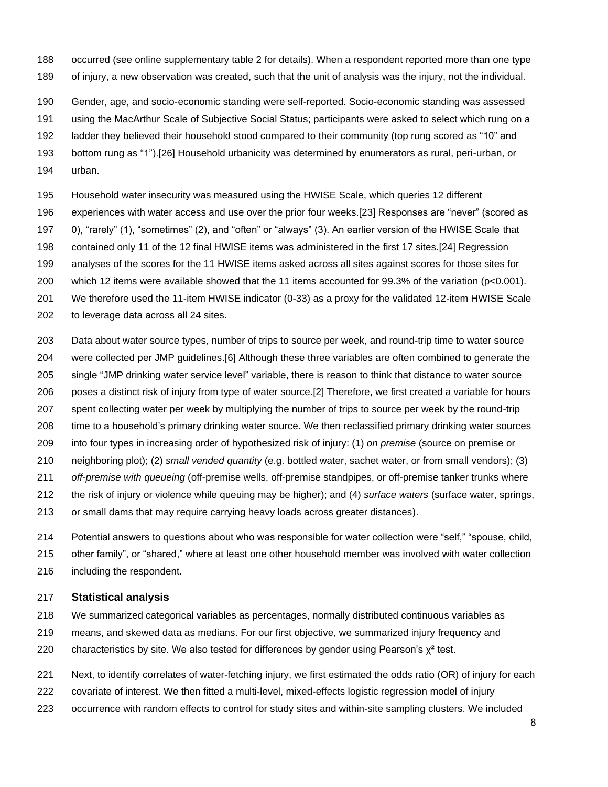- occurred (see online supplementary table 2 for details). When a respondent reported more than one type
- of injury, a new observation was created, such that the unit of analysis was the injury, not the individual.
- Gender, age, and socio-economic standing were self-reported. Socio-economic standing was assessed
- using the MacArthur Scale of Subjective Social Status; participants were asked to select which rung on a
- ladder they believed their household stood compared to their community (top rung scored as "10" and
- bottom rung as "1").[26] Household urbanicity was determined by enumerators as rural, peri-urban, or
- urban.
- Household water insecurity was measured using the HWISE Scale, which queries 12 different
- experiences with water access and use over the prior four weeks.[23] Responses are "never" (scored as
- 0), "rarely" (1), "sometimes" (2), and "often" or "always" (3). An earlier version of the HWISE Scale that
- contained only 11 of the 12 final HWISE items was administered in the first 17 sites.[24] Regression
- analyses of the scores for the 11 HWISE items asked across all sites against scores for those sites for
- which 12 items were available showed that the 11 items accounted for 99.3% of the variation (p<0.001).
- We therefore used the 11-item HWISE indicator (0-33) as a proxy for the validated 12-item HWISE Scale
- to leverage data across all 24 sites.
- Data about water source types, number of trips to source per week, and round-trip time to water source were collected per JMP guidelines.[6] Although these three variables are often combined to generate the single "JMP drinking water service level" variable, there is reason to think that distance to water source poses a distinct risk of injury from type of water source.[2] Therefore, we first created a variable for hours spent collecting water per week by multiplying the number of trips to source per week by the round-trip time to a household's primary drinking water source. We then reclassified primary drinking water sources into four types in increasing order of hypothesized risk of injury: (1) *on premise* (source on premise or neighboring plot); (2) *small vended quantity* (e.g. bottled water, sachet water, or from small vendors); (3) *off-premise with queueing* (off-premise wells, off-premise standpipes, or off-premise tanker trunks where the risk of injury or violence while queuing may be higher); and (4) *surface waters* (surface water, springs,
- or small dams that may require carrying heavy loads across greater distances).
- Potential answers to questions about who was responsible for water collection were "self," "spouse, child,
- other family", or "shared," where at least one other household member was involved with water collection
- including the respondent.

# **Statistical analysis**

- We summarized categorical variables as percentages, normally distributed continuous variables as
- means, and skewed data as medians. For our first objective, we summarized injury frequency and
- 220 characteristics by site. We also tested for differences by gender using Pearson's  $\chi^2$  test.
- Next, to identify correlates of water-fetching injury, we first estimated the odds ratio (OR) of injury for each
- covariate of interest. We then fitted a multi-level, mixed-effects logistic regression model of injury
- occurrence with random effects to control for study sites and within-site sampling clusters. We included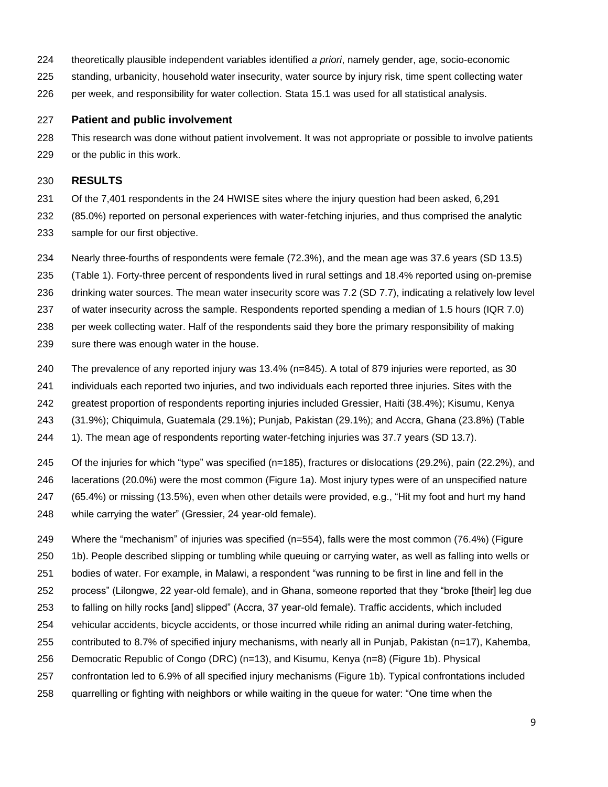- theoretically plausible independent variables identified *a priori*, namely gender, age, socio-economic
- standing, urbanicity, household water insecurity, water source by injury risk, time spent collecting water
- per week, and responsibility for water collection. Stata 15.1 was used for all statistical analysis.

## **Patient and public involvement**

This research was done without patient involvement. It was not appropriate or possible to involve patients

or the public in this work.

## **RESULTS**

- Of the 7,401 respondents in the 24 HWISE sites where the injury question had been asked, 6,291 (85.0%) reported on personal experiences with water-fetching injuries, and thus comprised the analytic sample for our first objective.
- Nearly three-fourths of respondents were female (72.3%), and the mean age was 37.6 years (SD 13.5)
- (Table 1). Forty-three percent of respondents lived in rural settings and 18.4% reported using on-premise
- drinking water sources. The mean water insecurity score was 7.2 (SD 7.7), indicating a relatively low level
- of water insecurity across the sample. Respondents reported spending a median of 1.5 hours (IQR 7.0)
- per week collecting water. Half of the respondents said they bore the primary responsibility of making
- sure there was enough water in the house.
- The prevalence of any reported injury was 13.4% (n=845). A total of 879 injuries were reported, as 30
- individuals each reported two injuries, and two individuals each reported three injuries. Sites with the
- greatest proportion of respondents reporting injuries included Gressier, Haiti (38.4%); Kisumu, Kenya
- (31.9%); Chiquimula, Guatemala (29.1%); Punjab, Pakistan (29.1%); and Accra, Ghana (23.8%) (Table
- 1). The mean age of respondents reporting water-fetching injuries was 37.7 years (SD 13.7).
- Of the injuries for which "type" was specified (n=185), fractures or dislocations (29.2%), pain (22.2%), and lacerations (20.0%) were the most common (Figure 1a). Most injury types were of an unspecified nature (65.4%) or missing (13.5%), even when other details were provided, e.g., "Hit my foot and hurt my hand
- while carrying the water" (Gressier, 24 year-old female).
- Where the "mechanism" of injuries was specified (n=554), falls were the most common (76.4%) (Figure
- 1b). People described slipping or tumbling while queuing or carrying water, as well as falling into wells or
- bodies of water. For example, in Malawi, a respondent "was running to be first in line and fell in the
- process" (Lilongwe, 22 year-old female), and in Ghana, someone reported that they "broke [their] leg due
- to falling on hilly rocks [and] slipped" (Accra, 37 year-old female). Traffic accidents, which included
- vehicular accidents, bicycle accidents, or those incurred while riding an animal during water-fetching,
- contributed to 8.7% of specified injury mechanisms, with nearly all in Punjab, Pakistan (n=17), Kahemba,
- Democratic Republic of Congo (DRC) (n=13), and Kisumu, Kenya (n=8) (Figure 1b). Physical
- confrontation led to 6.9% of all specified injury mechanisms (Figure 1b). Typical confrontations included
- quarrelling or fighting with neighbors or while waiting in the queue for water: "One time when the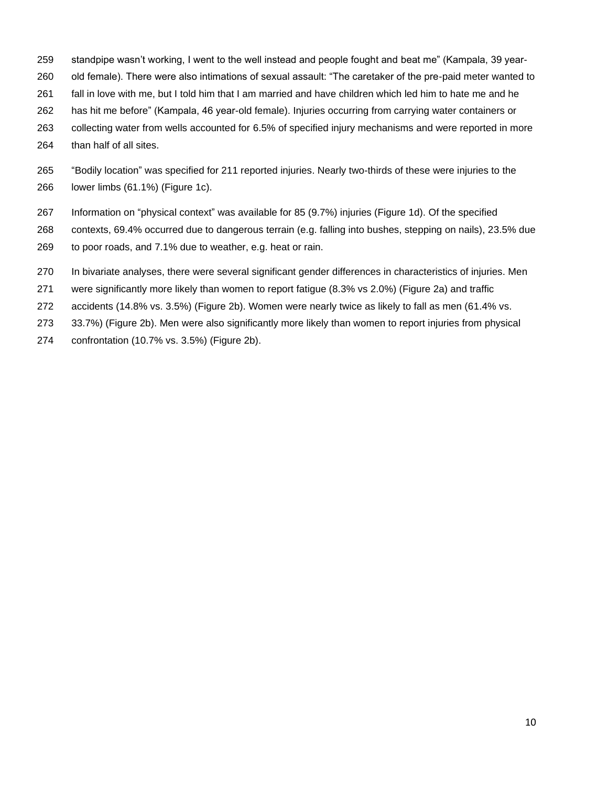- standpipe wasn't working, I went to the well instead and people fought and beat me" (Kampala, 39 year-
- old female). There were also intimations of sexual assault: "The caretaker of the pre-paid meter wanted to
- fall in love with me, but I told him that I am married and have children which led him to hate me and he
- has hit me before" (Kampala, 46 year-old female). Injuries occurring from carrying water containers or
- collecting water from wells accounted for 6.5% of specified injury mechanisms and were reported in more
- than half of all sites.
- "Bodily location" was specified for 211 reported injuries. Nearly two-thirds of these were injuries to the lower limbs (61.1%) (Figure 1c).
- Information on "physical context" was available for 85 (9.7%) injuries (Figure 1d). Of the specified
- contexts, 69.4% occurred due to dangerous terrain (e.g. falling into bushes, stepping on nails), 23.5% due
- to poor roads, and 7.1% due to weather, e.g. heat or rain.
- In bivariate analyses, there were several significant gender differences in characteristics of injuries. Men
- were significantly more likely than women to report fatigue (8.3% vs 2.0%) (Figure 2a) and traffic
- accidents (14.8% vs. 3.5%) (Figure 2b). Women were nearly twice as likely to fall as men (61.4% vs.
- 33.7%) (Figure 2b). Men were also significantly more likely than women to report injuries from physical
- confrontation (10.7% vs. 3.5%) (Figure 2b).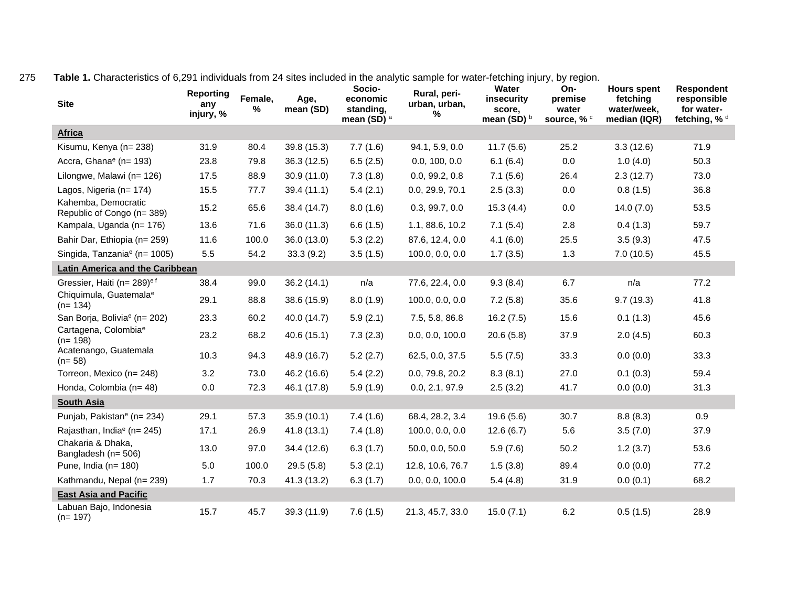| <b>Site</b>                                       | <b>Reporting</b><br>any<br>injury, % | Female,<br>% | Age,<br>mean (SD) | Socio-<br>economic<br>standing,<br>mean (SD) <sup>a</sup> | Rural, peri-<br>urban, urban,<br>% | Water<br>insecurity<br>score,<br>mean (SD) $b$ | On-<br>premise<br>water<br>source, % c | <b>Hours spent</b><br>fetching<br>water/week,<br>median (IQR) | <b>Respondent</b><br>responsible<br>for water-<br>fetching, % d |
|---------------------------------------------------|--------------------------------------|--------------|-------------------|-----------------------------------------------------------|------------------------------------|------------------------------------------------|----------------------------------------|---------------------------------------------------------------|-----------------------------------------------------------------|
| <b>Africa</b>                                     |                                      |              |                   |                                                           |                                    |                                                |                                        |                                                               |                                                                 |
| Kisumu, Kenya (n= 238)                            | 31.9                                 | 80.4         | 39.8 (15.3)       | 7.7(1.6)                                                  | 94.1, 5.9, 0.0                     | 11.7(5.6)                                      | 25.2                                   | 3.3(12.6)                                                     | 71.9                                                            |
| Accra, Ghana <sup>e</sup> (n= 193)                | 23.8                                 | 79.8         | 36.3 (12.5)       | 6.5(2.5)                                                  | 0.0, 100, 0.0                      | 6.1(6.4)                                       | 0.0                                    | 1.0(4.0)                                                      | 50.3                                                            |
| Lilongwe, Malawi (n= 126)                         | 17.5                                 | 88.9         | 30.9(11.0)        | 7.3(1.8)                                                  | 0.0, 99.2, 0.8                     | 7.1(5.6)                                       | 26.4                                   | 2.3(12.7)                                                     | 73.0                                                            |
| Lagos, Nigeria (n= 174)                           | 15.5                                 | 77.7         | 39.4(11.1)        | 5.4(2.1)                                                  | 0.0, 29.9, 70.1                    | 2.5(3.3)                                       | 0.0                                    | 0.8(1.5)                                                      | 36.8                                                            |
| Kahemba, Democratic<br>Republic of Congo (n= 389) | 15.2                                 | 65.6         | 38.4 (14.7)       | 8.0(1.6)                                                  | 0.3, 99.7, 0.0                     | 15.3(4.4)                                      | 0.0                                    | 14.0(7.0)                                                     | 53.5                                                            |
| Kampala, Uganda (n= 176)                          | 13.6                                 | 71.6         | 36.0 (11.3)       | 6.6(1.5)                                                  | 1.1, 88.6, 10.2                    | 7.1(5.4)                                       | 2.8                                    | 0.4(1.3)                                                      | 59.7                                                            |
| Bahir Dar, Ethiopia (n= 259)                      | 11.6                                 | 100.0        | 36.0 (13.0)       | 5.3(2.2)                                                  | 87.6, 12.4, 0.0                    | 4.1(6.0)                                       | 25.5                                   | 3.5(9.3)                                                      | 47.5                                                            |
| Singida, Tanzania <sup>e</sup> (n= 1005)          | 5.5                                  | 54.2         | 33.3(9.2)         | 3.5(1.5)                                                  | 100.0, 0.0, 0.0                    | 1.7(3.5)                                       | 1.3                                    | 7.0(10.5)                                                     | 45.5                                                            |
| Latin America and the Caribbean                   |                                      |              |                   |                                                           |                                    |                                                |                                        |                                                               |                                                                 |
| Gressier, Haiti (n= 289) <sup>ef</sup>            | 38.4                                 | 99.0         | 36.2(14.1)        | n/a                                                       | 77.6, 22.4, 0.0                    | 9.3(8.4)                                       | 6.7                                    | n/a                                                           | 77.2                                                            |
| Chiquimula, Guatemala <sup>e</sup><br>$(n=134)$   | 29.1                                 | 88.8         | 38.6 (15.9)       | 8.0(1.9)                                                  | 100.0, 0.0, 0.0                    | 7.2(5.8)                                       | 35.6                                   | 9.7(19.3)                                                     | 41.8                                                            |
| San Borja, Bolivia <sup>e</sup> (n= 202)          | 23.3                                 | 60.2         | 40.0 (14.7)       | 5.9(2.1)                                                  | 7.5, 5.8, 86.8                     | 16.2(7.5)                                      | 15.6                                   | 0.1(1.3)                                                      | 45.6                                                            |
| Cartagena, Colombia <sup>e</sup><br>$(n=198)$     | 23.2                                 | 68.2         | 40.6 (15.1)       | 7.3(2.3)                                                  | 0.0, 0.0, 100.0                    | 20.6(5.8)                                      | 37.9                                   | 2.0(4.5)                                                      | 60.3                                                            |
| Acatenango, Guatemala<br>$(n=58)$                 | 10.3                                 | 94.3         | 48.9 (16.7)       | 5.2(2.7)                                                  | 62.5, 0.0, 37.5                    | 5.5(7.5)                                       | 33.3                                   | 0.0(0.0)                                                      | 33.3                                                            |
| Torreon, Mexico (n= 248)                          | 3.2                                  | 73.0         | 46.2 (16.6)       | 5.4(2.2)                                                  | 0.0, 79.8, 20.2                    | 8.3(8.1)                                       | 27.0                                   | 0.1(0.3)                                                      | 59.4                                                            |
| Honda, Colombia (n= 48)                           | 0.0                                  | 72.3         | 46.1 (17.8)       | 5.9(1.9)                                                  | 0.0, 2.1, 97.9                     | 2.5(3.2)                                       | 41.7                                   | 0.0(0.0)                                                      | 31.3                                                            |
| <b>South Asia</b>                                 |                                      |              |                   |                                                           |                                    |                                                |                                        |                                                               |                                                                 |
| Punjab, Pakistan <sup>e</sup> (n= 234)            | 29.1                                 | 57.3         | 35.9(10.1)        | 7.4(1.6)                                                  | 68.4, 28.2, 3.4                    | 19.6(5.6)                                      | 30.7                                   | 8.8(8.3)                                                      | 0.9                                                             |
| Rajasthan, India <sup>e</sup> (n= 245)            | 17.1                                 | 26.9         | 41.8 (13.1)       | 7.4(1.8)                                                  | 100.0, 0.0, 0.0                    | 12.6(6.7)                                      | 5.6                                    | 3.5(7.0)                                                      | 37.9                                                            |
| Chakaria & Dhaka,<br>Bangladesh (n= 506)          | 13.0                                 | 97.0         | 34.4 (12.6)       | 6.3(1.7)                                                  | 50.0, 0.0, 50.0                    | 5.9(7.6)                                       | 50.2                                   | 1.2(3.7)                                                      | 53.6                                                            |
| Pune, India $(n=180)$                             | 5.0                                  | 100.0        | 29.5(5.8)         | 5.3(2.1)                                                  | 12.8, 10.6, 76.7                   | 1.5(3.8)                                       | 89.4                                   | 0.0(0.0)                                                      | 77.2                                                            |
| Kathmandu, Nepal (n= 239)                         | 1.7                                  | 70.3         | 41.3 (13.2)       | 6.3(1.7)                                                  | 0.0, 0.0, 100.0                    | 5.4(4.8)                                       | 31.9                                   | 0.0(0.1)                                                      | 68.2                                                            |
| <b>East Asia and Pacific</b>                      |                                      |              |                   |                                                           |                                    |                                                |                                        |                                                               |                                                                 |
| Labuan Bajo, Indonesia<br>$(n=197)$               | 15.7                                 | 45.7         | 39.3 (11.9)       | 7.6(1.5)                                                  | 21.3, 45.7, 33.0                   | 15.0(7.1)                                      | 6.2                                    | 0.5(1.5)                                                      | 28.9                                                            |

275 **Table 1.** Characteristics of 6,291 individuals from 24 sites included in the analytic sample for water-fetching injury, by region.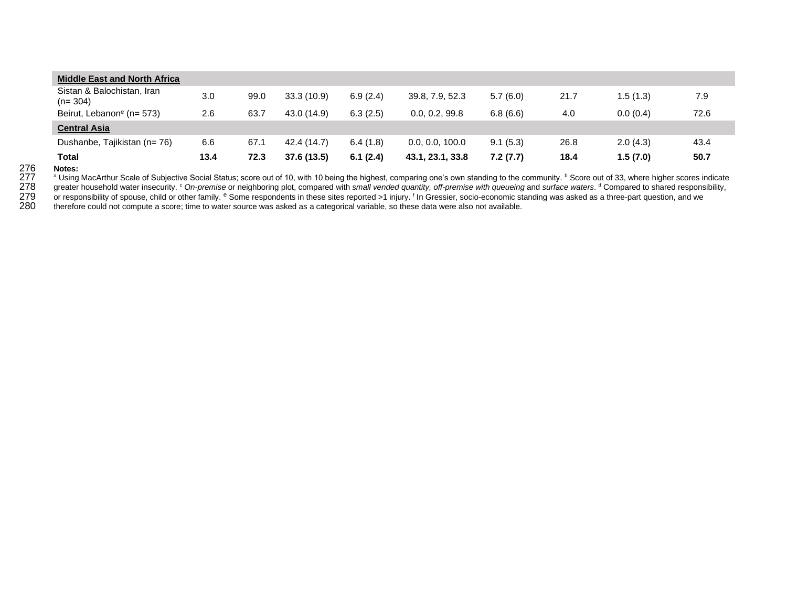| <b>Middle East and North Africa</b>     |      |      |             |          |                  |          |      |           |      |
|-----------------------------------------|------|------|-------------|----------|------------------|----------|------|-----------|------|
| Sistan & Balochistan, Iran<br>$(n=304)$ | 3.0  | 99.0 | 33.3(10.9)  | 6.9(2.4) | 39.8, 7.9, 52.3  | 5.7(6.0) | 21.7 | 1.5 (1.3) | 7.9  |
| Beirut, Lebanon <sup>e</sup> (n= 573)   | 2.6  | 63.7 | 43.0 (14.9) | 6.3(2.5) | 0.0, 0.2, 99.8   | 6.8(6.6) | 4.0  | 0.0(0.4)  | 72.6 |
| <b>Central Asia</b>                     |      |      |             |          |                  |          |      |           |      |
| Dushanbe, Tajikistan (n= 76)            | 6.6  | 67.1 | 42.4 (14.7) | 6.4(1.8) | 0.0, 0.0, 100.0  | 9.1(5.3) | 26.8 | 2.0(4.3)  | 43.4 |
| <b>Total</b>                            | 13.4 | 72.3 | 37.6 (13.5) | 6.1(2.4) | 43.1, 23.1, 33.8 | 7.2(7.7) | 18.4 | 1.5(7.0)  | 50.7 |

a Using MacArthur Scale of Subjective Social Status; score out of 10, with 10 being the highest, comparing one's own standing to the community. <sup>b</sup> Score out of 33, where higher scores indicate

278 greater household water insecurity. <sup>c</sup> On-premise or neighboring plot, compared with small vended quantity, off-premise with queueing and surface waters. <sup>d</sup> Compared to shared responsibility,

276 **Notes:**<br>277 <sup>a</sup> Using<br>278 greater<br>279 or respo Or responsibility of spouse, child or other family. <sup>e</sup> Some respondents in these sites reported >1 injury. In Gressier, socio-economic standing was asked as a three-part question, and we<br>280 therefore could not compute a

280 therefore could not compute a score; time to water source was asked as a categorical variable, so these data were also not available.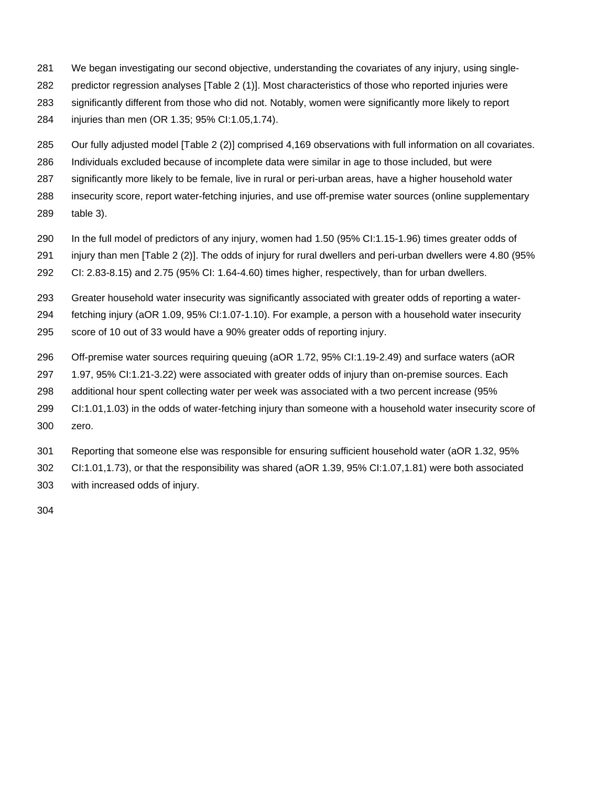- We began investigating our second objective, understanding the covariates of any injury, using single- predictor regression analyses [Table 2 (1)]. Most characteristics of those who reported injuries were significantly different from those who did not. Notably, women were significantly more likely to report injuries than men (OR 1.35; 95% CI:1.05,1.74).
- Our fully adjusted model [Table 2 (2)] comprised 4,169 observations with full information on all covariates.
- Individuals excluded because of incomplete data were similar in age to those included, but were
- significantly more likely to be female, live in rural or peri-urban areas, have a higher household water
- insecurity score, report water-fetching injuries, and use off-premise water sources (online supplementary table 3).
- In the full model of predictors of any injury, women had 1.50 (95% CI:1.15-1.96) times greater odds of
- injury than men [Table 2 (2)]. The odds of injury for rural dwellers and peri-urban dwellers were 4.80 (95%
- CI: 2.83-8.15) and 2.75 (95% CI: 1.64-4.60) times higher, respectively, than for urban dwellers.
- Greater household water insecurity was significantly associated with greater odds of reporting a water-
- fetching injury (aOR 1.09, 95% CI:1.07-1.10). For example, a person with a household water insecurity
- score of 10 out of 33 would have a 90% greater odds of reporting injury.
- Off-premise water sources requiring queuing (aOR 1.72, 95% CI:1.19-2.49) and surface waters (aOR
- 1.97, 95% CI:1.21-3.22) were associated with greater odds of injury than on-premise sources. Each
- additional hour spent collecting water per week was associated with a two percent increase (95%
- CI:1.01,1.03) in the odds of water-fetching injury than someone with a household water insecurity score of zero.
- Reporting that someone else was responsible for ensuring sufficient household water (aOR 1.32, 95%
- CI:1.01,1.73), or that the responsibility was shared (aOR 1.39, 95% CI:1.07,1.81) were both associated with increased odds of injury.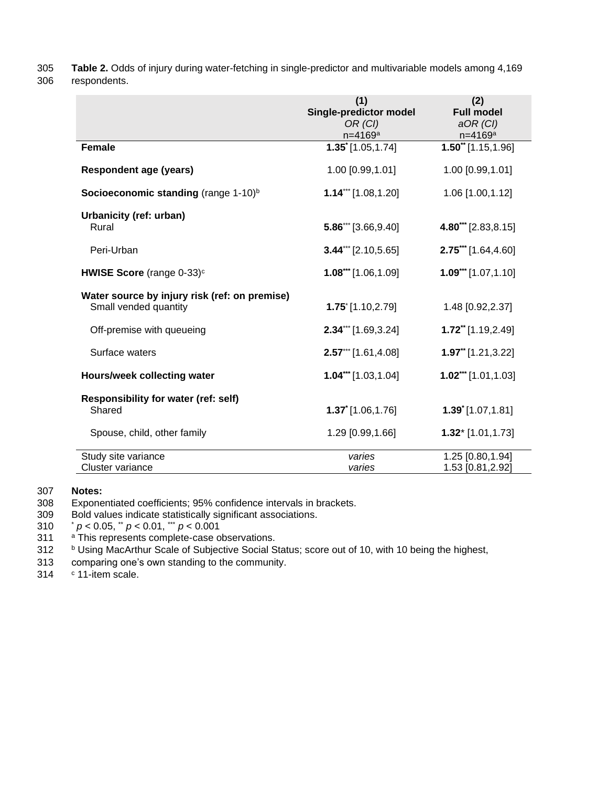305 **Table 2.** Odds of injury during water-fetching in single-predictor and multivariable models among 4,169

306 respondents.

|                                                                        | (1)<br>Single-predictor model<br>OR (CI)<br>$n = 4169a$ | (2)<br><b>Full model</b><br>$aOR$ (CI)<br>$n = 4169a$ |
|------------------------------------------------------------------------|---------------------------------------------------------|-------------------------------------------------------|
| Female                                                                 | $1.35$ <sup>*</sup> [1.05,1.74]                         | $1.50^{\ast\ast}$ [1.15,1.96]                         |
| <b>Respondent age (years)</b>                                          | 1.00 [0.99,1.01]                                        | 1.00 [0.99,1.01]                                      |
| Socioeconomic standing (range 1-10) <sup>b</sup>                       | $1.14$ *** [1.08,1.20]                                  | 1.06 [1.00,1.12]                                      |
| Urbanicity (ref: urban)<br>Rural                                       | $5.86^{\prime\prime\prime}$ [3.66,9.40]                 | 4.80*** [2.83,8.15]                                   |
| Peri-Urban                                                             | $3.44$ *** [2.10,5.65]                                  | $2.75***$ [1.64,4.60]                                 |
| <b>HWISE Score</b> (range $0-33$ ) <sup>c</sup>                        | $1.08$ *** [1.06,1.09]                                  | $1.09***$ [1.07,1.10]                                 |
| Water source by injury risk (ref: on premise)<br>Small vended quantity | $1.75$ [1.10,2.79]                                      | 1.48 [0.92,2.37]                                      |
| Off-premise with queueing                                              | $2.34$ *** [1.69,3.24]                                  | $1.72$ <sup>**</sup> [1.19,2.49]                      |
| Surface waters                                                         | $2.57***$ [1.61,4.08]                                   | $1.97$ <sup>**</sup> [1.21,3.22]                      |
| Hours/week collecting water                                            | $1.04***$ [1.03,1.04]                                   | $1.02***$ [1.01,1.03]                                 |
| Responsibility for water (ref: self)<br>Shared                         | $1.37$ [1.06,1.76]                                      | $1.39$ <sup>*</sup> [1.07,1.81]                       |
| Spouse, child, other family                                            | 1.29 [0.99,1.66]                                        | $1.32$ * [1.01,1.73]                                  |
| Study site variance<br>Cluster variance                                | varies<br>varies                                        | 1.25 [0.80,1.94]<br>1.53 [0.81,2.92]                  |

# 307 **Notes:**

308 Exponentiated coefficients; 95% confidence intervals in brackets.

Bold values indicate statistically significant associations.

\* *p* < 0.05, \*\* *p* < 0.01, \*\*\* 310 *p* < 0.001

311 <sup>a</sup> This represents complete-case observations.

312 b Using MacArthur Scale of Subjective Social Status; score out of 10, with 10 being the highest,

- 313 comparing one's own standing to the community.
- 314  $\degree$  11-item scale.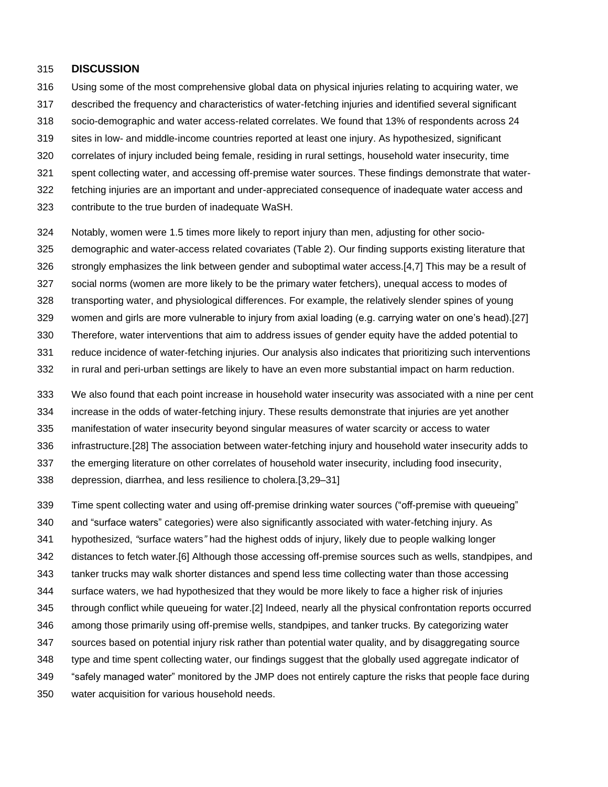#### **DISCUSSION**

- Using some of the most comprehensive global data on physical injuries relating to acquiring water, we
- described the frequency and characteristics of water-fetching injuries and identified several significant
- socio-demographic and water access-related correlates. We found that 13% of respondents across 24
- sites in low- and middle-income countries reported at least one injury. As hypothesized, significant
- correlates of injury included being female, residing in rural settings, household water insecurity, time
- spent collecting water, and accessing off-premise water sources. These findings demonstrate that water-
- fetching injuries are an important and under-appreciated consequence of inadequate water access and
- contribute to the true burden of inadequate WaSH.
- Notably, women were 1.5 times more likely to report injury than men, adjusting for other socio-
- demographic and water-access related covariates (Table 2). Our finding supports existing literature that
- strongly emphasizes the link between gender and suboptimal water access.[4,7] This may be a result of
- social norms (women are more likely to be the primary water fetchers), unequal access to modes of
- transporting water, and physiological differences. For example, the relatively slender spines of young
- women and girls are more vulnerable to injury from axial loading (e.g. carrying water on one's head).[27]
- Therefore, water interventions that aim to address issues of gender equity have the added potential to
- reduce incidence of water-fetching injuries. Our analysis also indicates that prioritizing such interventions
- in rural and peri-urban settings are likely to have an even more substantial impact on harm reduction.
- We also found that each point increase in household water insecurity was associated with a nine per cent
- increase in the odds of water-fetching injury. These results demonstrate that injuries are yet another
- manifestation of water insecurity beyond singular measures of water scarcity or access to water
- infrastructure.[28] The association between water-fetching injury and household water insecurity adds to
- the emerging literature on other correlates of household water insecurity, including food insecurity,
- depression, diarrhea, and less resilience to cholera.[3,29–31]
- Time spent collecting water and using off-premise drinking water sources ("off-premise with queueing"
- and "surface waters" categories) were also significantly associated with water-fetching injury. As
- hypothesized, *"*surface waters*"* had the highest odds of injury, likely due to people walking longer
- distances to fetch water.[6] Although those accessing off-premise sources such as wells, standpipes, and
- tanker trucks may walk shorter distances and spend less time collecting water than those accessing
- surface waters, we had hypothesized that they would be more likely to face a higher risk of injuries
- through conflict while queueing for water.[2] Indeed, nearly all the physical confrontation reports occurred
- among those primarily using off-premise wells, standpipes, and tanker trucks. By categorizing water
- sources based on potential injury risk rather than potential water quality, and by disaggregating source
- type and time spent collecting water, our findings suggest that the globally used aggregate indicator of
- "safely managed water" monitored by the JMP does not entirely capture the risks that people face during
- water acquisition for various household needs.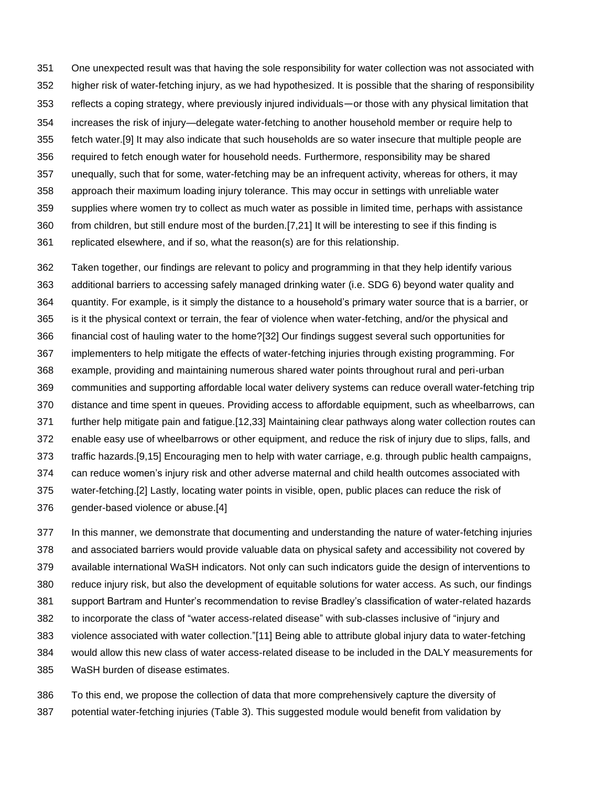One unexpected result was that having the sole responsibility for water collection was not associated with higher risk of water-fetching injury, as we had hypothesized. It is possible that the sharing of responsibility reflects a coping strategy, where previously injured individuals—or those with any physical limitation that increases the risk of injury—delegate water-fetching to another household member or require help to fetch water.[9] It may also indicate that such households are so water insecure that multiple people are required to fetch enough water for household needs. Furthermore, responsibility may be shared unequally, such that for some, water-fetching may be an infrequent activity, whereas for others, it may approach their maximum loading injury tolerance. This may occur in settings with unreliable water supplies where women try to collect as much water as possible in limited time, perhaps with assistance from children, but still endure most of the burden.[7,21] It will be interesting to see if this finding is replicated elsewhere, and if so, what the reason(s) are for this relationship.

 Taken together, our findings are relevant to policy and programming in that they help identify various additional barriers to accessing safely managed drinking water (i.e. SDG 6) beyond water quality and quantity. For example, is it simply the distance to a household's primary water source that is a barrier, or is it the physical context or terrain, the fear of violence when water-fetching, and/or the physical and financial cost of hauling water to the home?[32] Our findings suggest several such opportunities for implementers to help mitigate the effects of water-fetching injuries through existing programming. For example, providing and maintaining numerous shared water points throughout rural and peri-urban communities and supporting affordable local water delivery systems can reduce overall water-fetching trip distance and time spent in queues. Providing access to affordable equipment, such as wheelbarrows, can further help mitigate pain and fatigue.[12,33] Maintaining clear pathways along water collection routes can enable easy use of wheelbarrows or other equipment, and reduce the risk of injury due to slips, falls, and traffic hazards.[9,15] Encouraging men to help with water carriage, e.g. through public health campaigns, can reduce women's injury risk and other adverse maternal and child health outcomes associated with water-fetching.[2] Lastly, locating water points in visible, open, public places can reduce the risk of gender-based violence or abuse.[4]

 In this manner, we demonstrate that documenting and understanding the nature of water-fetching injuries and associated barriers would provide valuable data on physical safety and accessibility not covered by available international WaSH indicators. Not only can such indicators guide the design of interventions to reduce injury risk, but also the development of equitable solutions for water access. As such, our findings support Bartram and Hunter's recommendation to revise Bradley's classification of water-related hazards to incorporate the class of "water access-related disease" with sub-classes inclusive of "injury and violence associated with water collection."[11] Being able to attribute global injury data to water-fetching would allow this new class of water access-related disease to be included in the DALY measurements for WaSH burden of disease estimates.

 To this end, we propose the collection of data that more comprehensively capture the diversity of potential water-fetching injuries (Table 3). This suggested module would benefit from validation by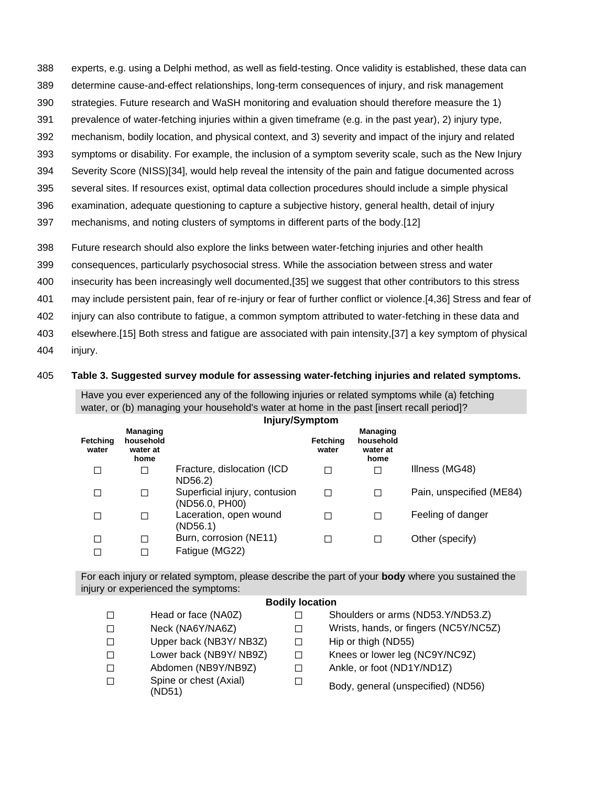- 388 experts, e.g. using a Delphi method, as well as field-testing. Once validity is established, these data can
- 389 determine cause-and-effect relationships, long-term consequences of injury, and risk management
- 390 strategies. Future research and WaSH monitoring and evaluation should therefore measure the 1)
- 391 prevalence of water-fetching injuries within a given timeframe (e.g. in the past year), 2) injury type,
- 392 mechanism, bodily location, and physical context, and 3) severity and impact of the injury and related
- 393 symptoms or disability. For example, the inclusion of a symptom severity scale, such as the New Injury 394 Severity Score (NISS)[34], would help reveal the intensity of the pain and fatigue documented across
- 395 several sites. If resources exist, optimal data collection procedures should include a simple physical
- 
- 396 examination, adequate questioning to capture a subjective history, general health, detail of injury
- 397 mechanisms, and noting clusters of symptoms in different parts of the body.[12]
- 398 Future research should also explore the links between water-fetching injuries and other health
- 399 consequences, particularly psychosocial stress. While the association between stress and water
- 400 insecurity has been increasingly well documented,[35] we suggest that other contributors to this stress
- 401 may include persistent pain, fear of re-injury or fear of further conflict or violence.[4,36] Stress and fear of
- 402 injury can also contribute to fatigue, a common symptom attributed to water-fetching in these data and
- 403 elsewhere.[15] Both stress and fatigue are associated with pain intensity,[37] a key symptom of physical
- 404 injury.

## 405 **Table 3. Suggested survey module for assessing water-fetching injuries and related symptoms.**

Have you ever experienced any of the following injuries or related symptoms while (a) fetching water, or (b) managing your household's water at home in the past [insert recall period]?

| Injury/Symptom    |                                                  |                                                 |                   |                                                  |                          |  |
|-------------------|--------------------------------------------------|-------------------------------------------------|-------------------|--------------------------------------------------|--------------------------|--|
| Fetching<br>water | <b>Managing</b><br>household<br>water at<br>home |                                                 | Fetching<br>water | <b>Managing</b><br>household<br>water at<br>home |                          |  |
|                   |                                                  | Fracture, dislocation (ICD<br>ND56.2)           |                   | $\Box$                                           | Illness (MG48)           |  |
|                   | Г                                                | Superficial injury, contusion<br>(ND56.0, PH00) |                   |                                                  | Pain, unspecified (ME84) |  |
|                   |                                                  | Laceration, open wound<br>(ND56.1)              |                   | П                                                | Feeling of danger        |  |
|                   |                                                  | Burn, corrosion (NE11)                          |                   | $\Box$                                           | Other (specify)          |  |
|                   |                                                  | Fatigue (MG22)                                  |                   |                                                  |                          |  |

For each injury or related symptom, please describe the part of your **body** where you sustained the injury or experienced the symptoms:

#### **Bodily location**

- ☐ Head or face (NA0Z) ☐ Shoulders or arms (ND53.Y/ND53.Z)
- ☐ Neck (NA6Y/NA6Z) ☐ Wrists, hands, or fingers (NC5Y/NC5Z)
- ☐ Upper back (NB3Y/ NB3Z) ☐ Hip or thigh (ND55)
- ☐ Lower back (NB9Y/ NB9Z) ☐ Knees or lower leg (NC9Y/NC9Z)
- ☐ Abdomen (NB9Y/NB9Z) ☐ Ankle, or foot (ND1Y/ND1Z)
- ☐ Spine or chest (Axial) (ND51)
- 
- 
- 
- 
- $\Box$  Body, general (unspecified) (ND56)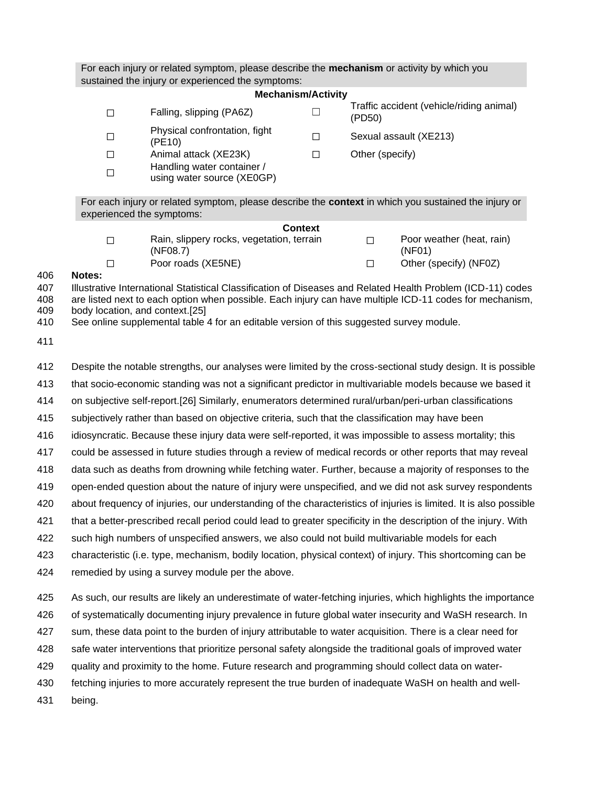For each injury or related symptom, please describe the **mechanism** or activity by which you sustained the injury or experienced the symptoms:

| <b>Mechanism/Activity</b> |                                                          |              |                                                    |  |  |  |  |  |
|---------------------------|----------------------------------------------------------|--------------|----------------------------------------------------|--|--|--|--|--|
|                           | Falling, slipping (PA6Z)                                 |              | Traffic accident (vehicle/riding animal)<br>(PD50) |  |  |  |  |  |
|                           | Physical confrontation, fight<br>(PE10)                  | П            | Sexual assault (XE213)                             |  |  |  |  |  |
|                           | Animal attack (XE23K)                                    | $\mathsf{L}$ | Other (specify)                                    |  |  |  |  |  |
|                           | Handling water container /<br>using water source (XE0GP) |              |                                                    |  |  |  |  |  |

For each injury or related symptom, please describe the **context** in which you sustained the injury or experienced the symptoms:

| <b>Context</b>                                        |                                     |
|-------------------------------------------------------|-------------------------------------|
| Rain, slippery rocks, vegetation, terrain<br>(NF08.7) | Poor weather (heat, rain)<br>(NF01) |
| Poor roads (XE5NE)                                    | Other (specify) (NF0Z)              |

#### 406 **Notes:**

407 Illustrative International Statistical Classification of Diseases and Related Health Problem (ICD-11) codes 408 are listed next to each option when possible. Each injury can have multiple ICD-11 codes for mechanism, 409 body location, and context.[25]

410 See online supplemental table 4 for an editable version of this suggested survey module.

411

412 Despite the notable strengths, our analyses were limited by the cross-sectional study design. It is possible

413 that socio-economic standing was not a significant predictor in multivariable models because we based it

414 on subjective self-report.[26] Similarly, enumerators determined rural/urban/peri-urban classifications

415 subjectively rather than based on objective criteria, such that the classification may have been

416 idiosyncratic. Because these injury data were self-reported, it was impossible to assess mortality; this

417 could be assessed in future studies through a review of medical records or other reports that may reveal

418 data such as deaths from drowning while fetching water. Further, because a majority of responses to the

419 open-ended question about the nature of injury were unspecified, and we did not ask survey respondents

420 about frequency of injuries, our understanding of the characteristics of injuries is limited. It is also possible

421 that a better-prescribed recall period could lead to greater specificity in the description of the injury. With

422 such high numbers of unspecified answers, we also could not build multivariable models for each

423 characteristic (i.e. type, mechanism, bodily location, physical context) of injury. This shortcoming can be

424 remedied by using a survey module per the above.

425 As such, our results are likely an underestimate of water-fetching injuries, which highlights the importance

426 of systematically documenting injury prevalence in future global water insecurity and WaSH research. In

427 sum, these data point to the burden of injury attributable to water acquisition. There is a clear need for

428 safe water interventions that prioritize personal safety alongside the traditional goals of improved water

429 quality and proximity to the home. Future research and programming should collect data on water-

430 fetching injuries to more accurately represent the true burden of inadequate WaSH on health and well-

431 being.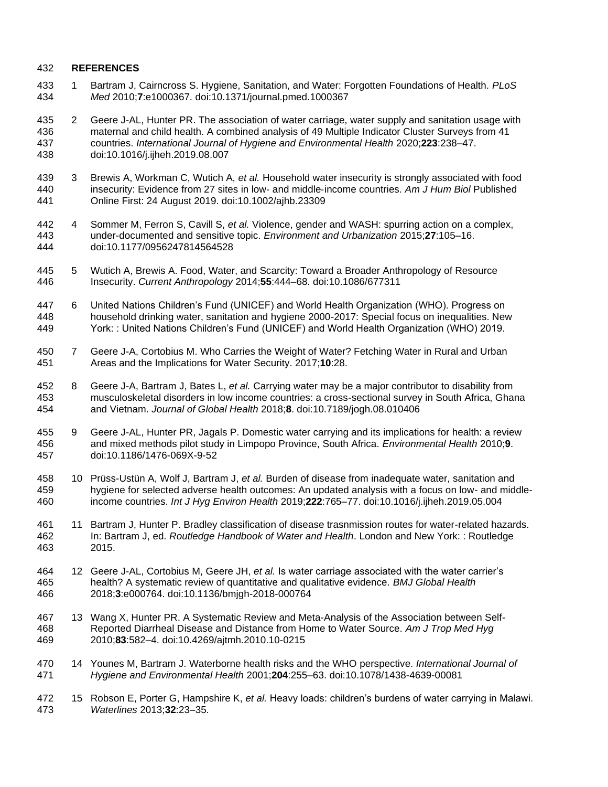#### **REFERENCES**

- 1 Bartram J, Cairncross S. Hygiene, Sanitation, and Water: Forgotten Foundations of Health. *PLoS Med* 2010;**7**:e1000367. doi:10.1371/journal.pmed.1000367
- 2 Geere J-AL, Hunter PR. The association of water carriage, water supply and sanitation usage with maternal and child health. A combined analysis of 49 Multiple Indicator Cluster Surveys from 41 countries. *International Journal of Hygiene and Environmental Health* 2020;**223**:238–47. doi:10.1016/j.ijheh.2019.08.007
- 3 Brewis A, Workman C, Wutich A, *et al.* Household water insecurity is strongly associated with food insecurity: Evidence from 27 sites in low‐ and middle‐income countries. *Am J Hum Biol* Published Online First: 24 August 2019. doi:10.1002/ajhb.23309
- 4 Sommer M, Ferron S, Cavill S, *et al.* Violence, gender and WASH: spurring action on a complex, under-documented and sensitive topic. *Environment and Urbanization* 2015;**27**:105–16. doi:10.1177/0956247814564528
- 5 Wutich A, Brewis A. Food, Water, and Scarcity: Toward a Broader Anthropology of Resource Insecurity. *Current Anthropology* 2014;**55**:444–68. doi:10.1086/677311
- 6 United Nations Children's Fund (UNICEF) and World Health Organization (WHO). Progress on household drinking water, sanitation and hygiene 2000-2017: Special focus on inequalities. New York: : United Nations Children's Fund (UNICEF) and World Health Organization (WHO) 2019.
- 7 Geere J-A, Cortobius M. Who Carries the Weight of Water? Fetching Water in Rural and Urban Areas and the Implications for Water Security. 2017;**10**:28.
- 8 Geere J-A, Bartram J, Bates L, *et al.* Carrying water may be a major contributor to disability from musculoskeletal disorders in low income countries: a cross-sectional survey in South Africa, Ghana and Vietnam. *Journal of Global Health* 2018;**8**. doi:10.7189/jogh.08.010406
- 9 Geere J-AL, Hunter PR, Jagals P. Domestic water carrying and its implications for health: a review and mixed methods pilot study in Limpopo Province, South Africa. *Environmental Health* 2010;**9**. doi:10.1186/1476-069X-9-52
- 10 Prüss-Ustün A, Wolf J, Bartram J, *et al.* Burden of disease from inadequate water, sanitation and hygiene for selected adverse health outcomes: An updated analysis with a focus on low- and middle-income countries. *Int J Hyg Environ Health* 2019;**222**:765–77. doi:10.1016/j.ijheh.2019.05.004
- 11 Bartram J, Hunter P. Bradley classification of disease trasnmission routes for water-related hazards. In: Bartram J, ed. *Routledge Handbook of Water and Health*. London and New York: : Routledge 2015.
- 12 Geere J-AL, Cortobius M, Geere JH, *et al.* Is water carriage associated with the water carrier's health? A systematic review of quantitative and qualitative evidence. *BMJ Global Health* 2018;**3**:e000764. doi:10.1136/bmjgh-2018-000764
- 13 Wang X, Hunter PR. A Systematic Review and Meta-Analysis of the Association between Self- Reported Diarrheal Disease and Distance from Home to Water Source. *Am J Trop Med Hyg* 2010;**83**:582–4. doi:10.4269/ajtmh.2010.10-0215
- 14 Younes M, Bartram J. Waterborne health risks and the WHO perspective. *International Journal of Hygiene and Environmental Health* 2001;**204**:255–63. doi:10.1078/1438-4639-00081
- 15 Robson E, Porter G, Hampshire K, *et al.* Heavy loads: children's burdens of water carrying in Malawi. *Waterlines* 2013;**32**:23–35.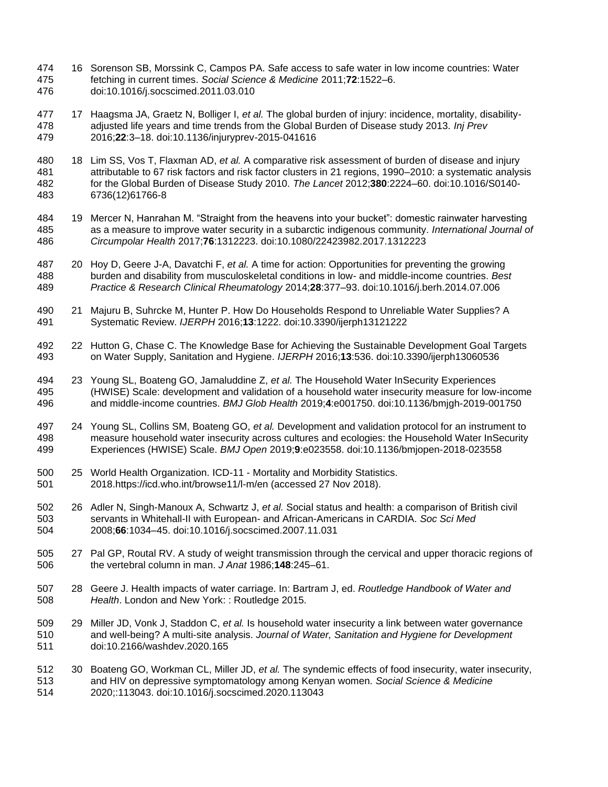- 16 Sorenson SB, Morssink C, Campos PA. Safe access to safe water in low income countries: Water fetching in current times. *Social Science & Medicine* 2011;**72**:1522–6. doi:10.1016/j.socscimed.2011.03.010
- 17 Haagsma JA, Graetz N, Bolliger I, *et al.* The global burden of injury: incidence, mortality, disability- adjusted life years and time trends from the Global Burden of Disease study 2013. *Inj Prev* 2016;**22**:3–18. doi:10.1136/injuryprev-2015-041616
- 18 Lim SS, Vos T, Flaxman AD, *et al.* A comparative risk assessment of burden of disease and injury attributable to 67 risk factors and risk factor clusters in 21 regions, 1990–2010: a systematic analysis for the Global Burden of Disease Study 2010. *The Lancet* 2012;**380**:2224–60. doi:10.1016/S0140- 6736(12)61766-8
- 19 Mercer N, Hanrahan M. "Straight from the heavens into your bucket": domestic rainwater harvesting as a measure to improve water security in a subarctic indigenous community. *International Journal of Circumpolar Health* 2017;**76**:1312223. doi:10.1080/22423982.2017.1312223
- 20 Hoy D, Geere J-A, Davatchi F, *et al.* A time for action: Opportunities for preventing the growing burden and disability from musculoskeletal conditions in low- and middle-income countries. *Best Practice & Research Clinical Rheumatology* 2014;**28**:377–93. doi:10.1016/j.berh.2014.07.006
- 21 Majuru B, Suhrcke M, Hunter P. How Do Households Respond to Unreliable Water Supplies? A Systematic Review. *IJERPH* 2016;**13**:1222. doi:10.3390/ijerph13121222
- 22 Hutton G, Chase C. The Knowledge Base for Achieving the Sustainable Development Goal Targets on Water Supply, Sanitation and Hygiene. *IJERPH* 2016;**13**:536. doi:10.3390/ijerph13060536
- 23 Young SL, Boateng GO, Jamaluddine Z, *et al.* The Household Water InSecurity Experiences (HWISE) Scale: development and validation of a household water insecurity measure for low-income and middle-income countries. *BMJ Glob Health* 2019;**4**:e001750. doi:10.1136/bmjgh-2019-001750
- 24 Young SL, Collins SM, Boateng GO, *et al.* Development and validation protocol for an instrument to measure household water insecurity across cultures and ecologies: the Household Water InSecurity Experiences (HWISE) Scale. *BMJ Open* 2019;**9**:e023558. doi:10.1136/bmjopen-2018-023558
- 25 World Health Organization. ICD-11 Mortality and Morbidity Statistics. 2018.https://icd.who.int/browse11/l-m/en (accessed 27 Nov 2018).
- 26 Adler N, Singh-Manoux A, Schwartz J, *et al.* Social status and health: a comparison of British civil servants in Whitehall-II with European- and African-Americans in CARDIA. *Soc Sci Med* 2008;**66**:1034–45. doi:10.1016/j.socscimed.2007.11.031
- 27 Pal GP, Routal RV. A study of weight transmission through the cervical and upper thoracic regions of the vertebral column in man. *J Anat* 1986;**148**:245–61.
- 28 Geere J. Health impacts of water carriage. In: Bartram J, ed. *Routledge Handbook of Water and Health*. London and New York: : Routledge 2015.
- 29 Miller JD, Vonk J, Staddon C, *et al.* Is household water insecurity a link between water governance and well-being? A multi-site analysis. *Journal of Water, Sanitation and Hygiene for Development* doi:10.2166/washdev.2020.165
- 30 Boateng GO, Workman CL, Miller JD, *et al.* The syndemic effects of food insecurity, water insecurity, and HIV on depressive symptomatology among Kenyan women. *Social Science & Medicine* 2020;:113043. doi:10.1016/j.socscimed.2020.113043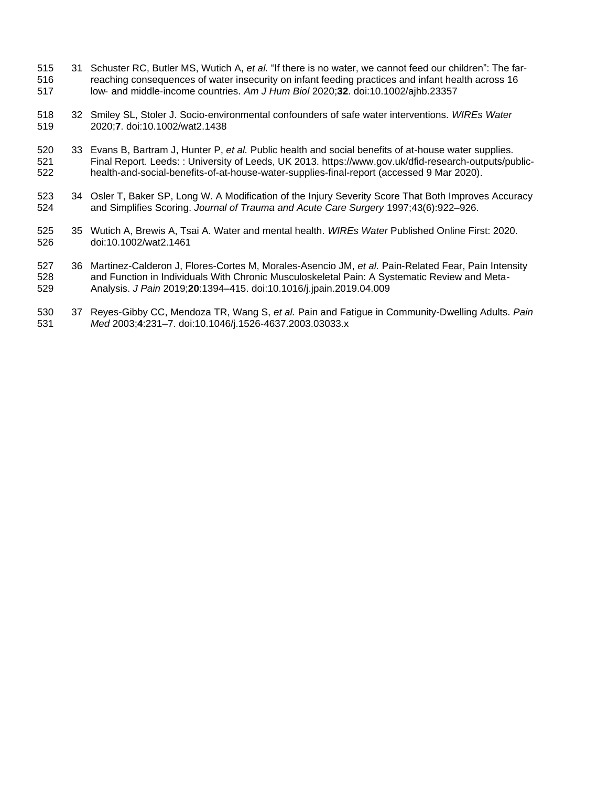- 31 Schuster RC, Butler MS, Wutich A, *et al.* "If there is no water, we cannot feed our children": The far‐ reaching consequences of water insecurity on infant feeding practices and infant health across 16 low‐ and middle‐income countries. *Am J Hum Biol* 2020;**32**. doi:10.1002/ajhb.23357
- 32 Smiley SL, Stoler J. Socio‐environmental confounders of safe water interventions. *WIREs Water* 2020;**7**. doi:10.1002/wat2.1438
- 33 Evans B, Bartram J, Hunter P, *et al.* Public health and social benefits of at-house water supplies. Final Report. Leeds: : University of Leeds, UK 2013. https://www.gov.uk/dfid-research-outputs/public-health-and-social-benefits-of-at-house-water-supplies-final-report (accessed 9 Mar 2020).
- 523 34 Osler T, Baker SP, Long W. A Modification of the Injury Severity Score That Both Improves Accuracy and Simplifies Scoring. *Journal of Trauma and Acute Care Surgery* 1997;43(6):922–926.
- 35 Wutich A, Brewis A, Tsai A. Water and mental health. *WIREs Water* Published Online First: 2020. doi:10.1002/wat2.1461
- 36 Martinez-Calderon J, Flores-Cortes M, Morales-Asencio JM, *et al.* Pain-Related Fear, Pain Intensity and Function in Individuals With Chronic Musculoskeletal Pain: A Systematic Review and Meta-Analysis. *J Pain* 2019;**20**:1394–415. doi:10.1016/j.jpain.2019.04.009
- 37 Reyes-Gibby CC, Mendoza TR, Wang S, *et al.* Pain and Fatigue in Community-Dwelling Adults. *Pain Med* 2003;**4**:231–7. doi:10.1046/j.1526-4637.2003.03033.x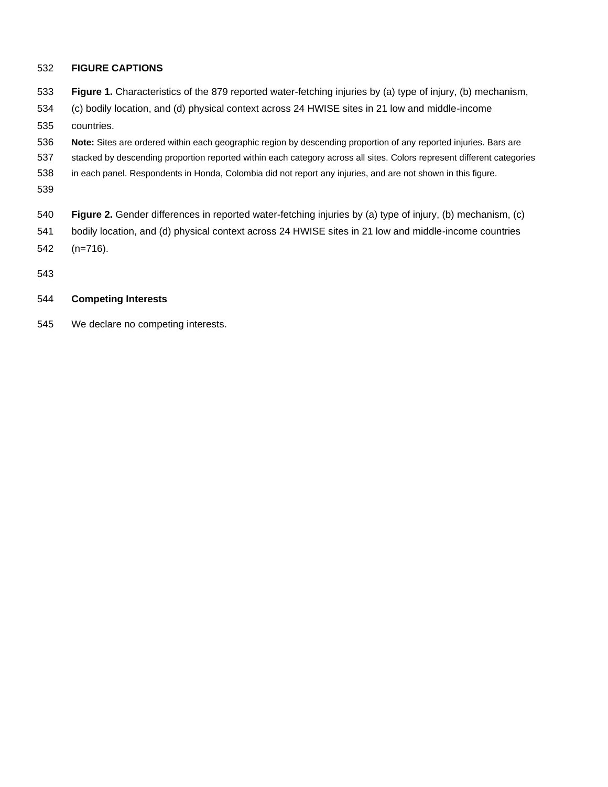# **FIGURE CAPTIONS**

- **Figure 1.** Characteristics of the 879 reported water-fetching injuries by (a) type of injury, (b) mechanism,
- (c) bodily location, and (d) physical context across 24 HWISE sites in 21 low and middle-income
- countries.
- **Note:** Sites are ordered within each geographic region by descending proportion of any reported injuries. Bars are
- stacked by descending proportion reported within each category across all sites. Colors represent different categories
- in each panel. Respondents in Honda, Colombia did not report any injuries, and are not shown in this figure.
- 
- **Figure 2.** Gender differences in reported water-fetching injuries by (a) type of injury, (b) mechanism, (c)
- bodily location, and (d) physical context across 24 HWISE sites in 21 low and middle-income countries (n=716).
- 

# **Competing Interests**

We declare no competing interests.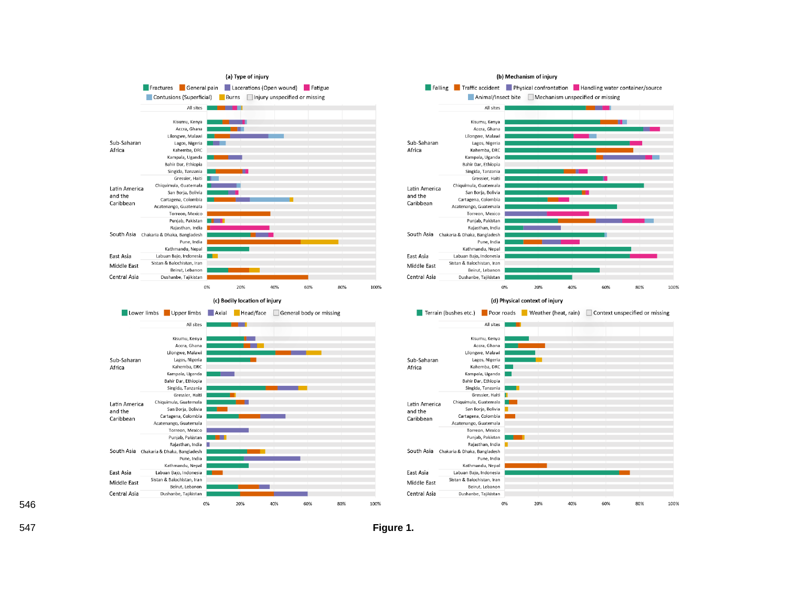

**Figure 1.**